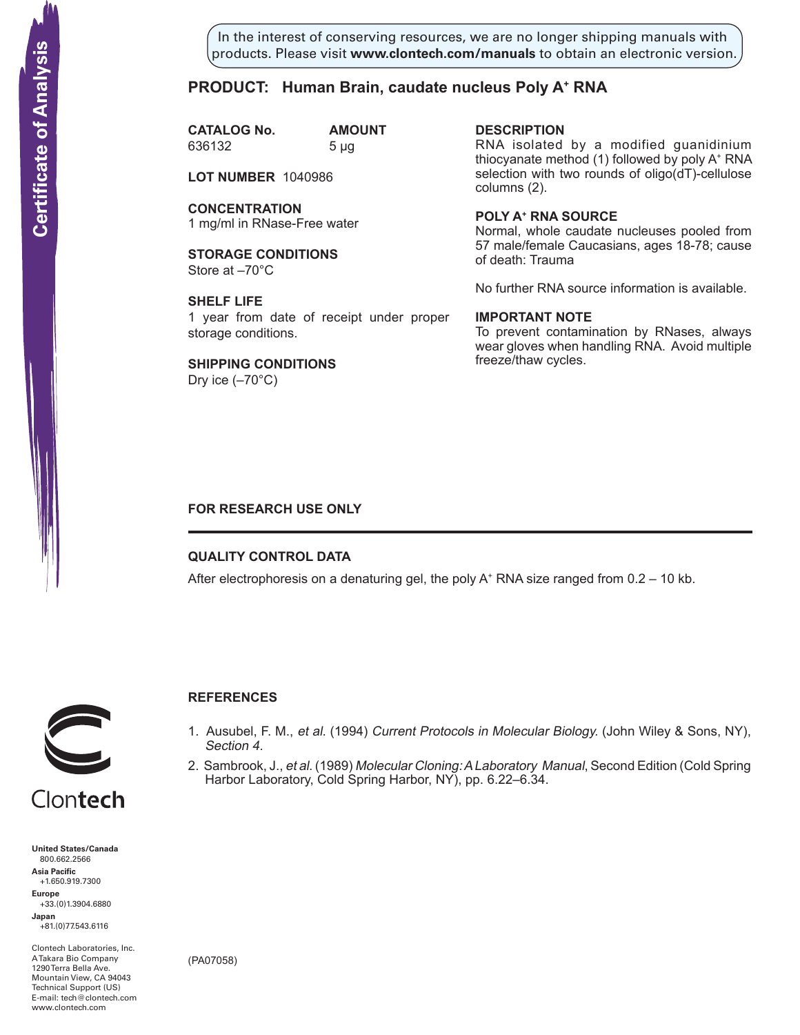In the interest of conserving resources, we are no longer shipping manuals with products. Please visit **www.clontech.com/manuals** to obtain an electronic version.

# **PRODUCT: Human Brain, caudate nucleus Poly A+ RNA**

**CATALOG No. AMOUNT** 636132 5 µg

**LOT NUMBER** 1040986

**CONCENTRATION** 1 mg/ml in RNase-Free water

**STORAGE CONDITIONS** Store at –70°C

**SHELF LIFE** 1 year from date of receipt under proper storage conditions.

**SHIPPING CONDITIONS** Dry ice  $(-70^{\circ}C)$ 

**description** RNA isolated by a modified guanidinium thiocyanate method (1) followed by poly A+ RNA selection with two rounds of oligo(dT)-cellulose columns (2).

**Poly a+ RNA source** Normal, whole caudate nucleuses pooled from 57 male/female Caucasians, ages 18-78; cause of death: Trauma

No further RNA source information is available.

## **IMPORTANT NOTE**

To prevent contamination by RNases, always wear gloves when handling RNA. Avoid multiple freeze/thaw cycles.

## **FOR RESEARCH USE ONLY**

### **QUALITY CONTROL DATA**

After electrophoresis on a denaturing gel, the poly  $A^+$  RNA size ranged from 0.2 – 10 kb.



# **References**

- 1. Ausubel, F. M., et al. (1994) Current Protocols in Molecular Biology. (John Wiley & Sons, NY), Section 4.
- 2. Sambrook, J., et al. (1989) Molecular Cloning: A Laboratory Manual, Second Edition (Cold Spring Harbor Laboratory, Cold Spring Harbor, NY), pp. 6.22–6.34.



Clontech

**United States/Canada** 800.662.2566 **Asia Pacific** +1.650.919.7300 **Europe** +33.(0)1.3904.6880 **Japan** +81.(0)77.543.6116 **Solution Control Control Control Control Control Control Control Control Control Control Control Control Control Control Control Control Control Control Control Control Control Control Control Control Control Control Cont** 

Clontech Laboratories, Inc. A Takara Bio Company 1290 Terra Bella Ave. Mountain View, CA 94043 Technical Support (US) E-mail: tech@clontech.com<br>www.clontech.com

(PA07058)